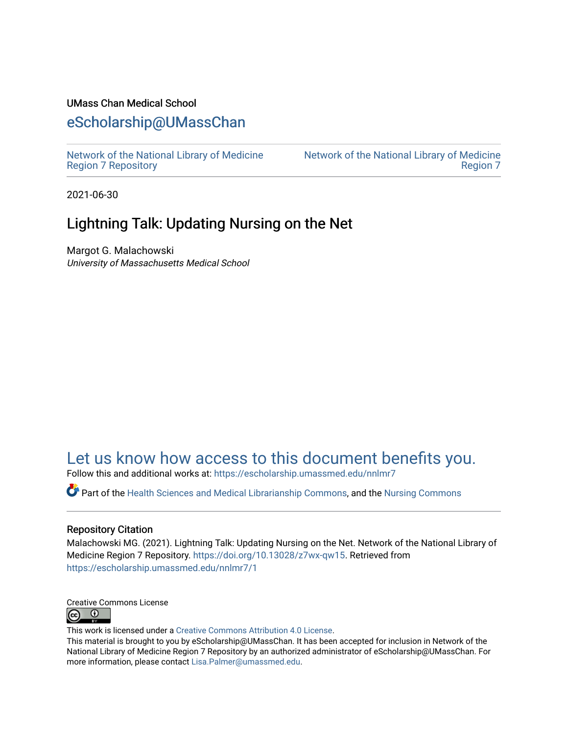#### UMass Chan Medical School

#### [eScholarship@UMassChan](https://escholarship.umassmed.edu/)

[Network of the National Library of Medicine](https://escholarship.umassmed.edu/nnlmr7) [Region 7 Repository](https://escholarship.umassmed.edu/nnlmr7) 

[Network of the National Library of Medicine](https://escholarship.umassmed.edu/nnlmner)  [Region 7](https://escholarship.umassmed.edu/nnlmner) 

2021-06-30

#### Lightning Talk: Updating Nursing on the Net

Margot G. Malachowski University of Massachusetts Medical School

#### [Let us know how access to this document benefits you.](https://arcsapps.umassmed.edu/redcap/surveys/?s=XWRHNF9EJE)

Follow this and additional works at: [https://escholarship.umassmed.edu/nnlmr7](https://escholarship.umassmed.edu/nnlmr7?utm_source=escholarship.umassmed.edu%2Fnnlmr7%2F1&utm_medium=PDF&utm_campaign=PDFCoverPages) 

Part of the [Health Sciences and Medical Librarianship Commons](http://network.bepress.com/hgg/discipline/1419?utm_source=escholarship.umassmed.edu%2Fnnlmr7%2F1&utm_medium=PDF&utm_campaign=PDFCoverPages), and the [Nursing Commons](http://network.bepress.com/hgg/discipline/718?utm_source=escholarship.umassmed.edu%2Fnnlmr7%2F1&utm_medium=PDF&utm_campaign=PDFCoverPages) 

#### Repository Citation

Malachowski MG. (2021). Lightning Talk: Updating Nursing on the Net. Network of the National Library of Medicine Region 7 Repository.<https://doi.org/10.13028/z7wx-qw15>. Retrieved from [https://escholarship.umassmed.edu/nnlmr7/1](https://escholarship.umassmed.edu/nnlmr7/1?utm_source=escholarship.umassmed.edu%2Fnnlmr7%2F1&utm_medium=PDF&utm_campaign=PDFCoverPages) 



This work is licensed under a [Creative Commons Attribution 4.0 License](http://creativecommons.org/licenses/by/4.0/).

This material is brought to you by eScholarship@UMassChan. It has been accepted for inclusion in Network of the National Library of Medicine Region 7 Repository by an authorized administrator of eScholarship@UMassChan. For more information, please contact [Lisa.Palmer@umassmed.edu.](mailto:Lisa.Palmer@umassmed.edu)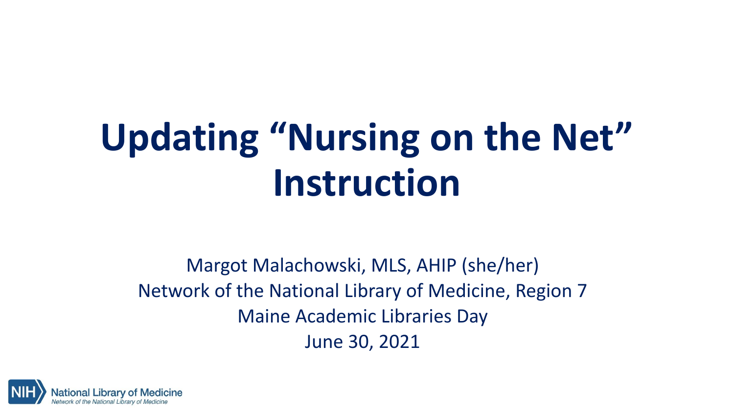# **Updating "Nursing on the Net" Instruction**

Margot Malachowski, MLS, AHIP (she/her) Network of the National Library of Medicine, Region 7 Maine Academic Libraries Day June 30, 2021

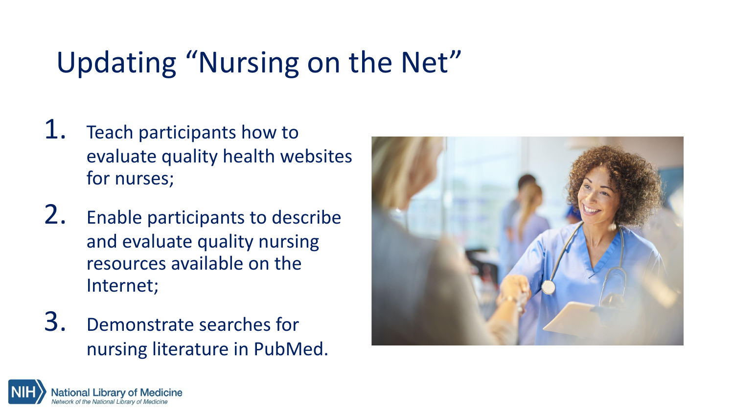# Updating "Nursing on the Net"

- 1. Teach participants how to evaluate quality health websites for nurses;
- 2. Enable participants to describe and evaluate quality nursing resources available on the Internet;
- 3. Demonstrate searches for nursing literature in PubMed.



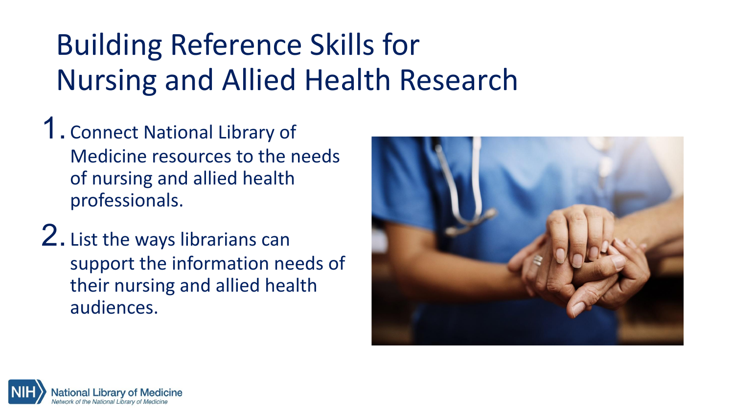# Building Reference Skills for Nursing and Allied Health Research

- 1. Connect National Library of Medicine resources to the needs of nursing and allied health professionals.
- 2. List the ways librarians can support the information needs of their nursing and allied health audiences.



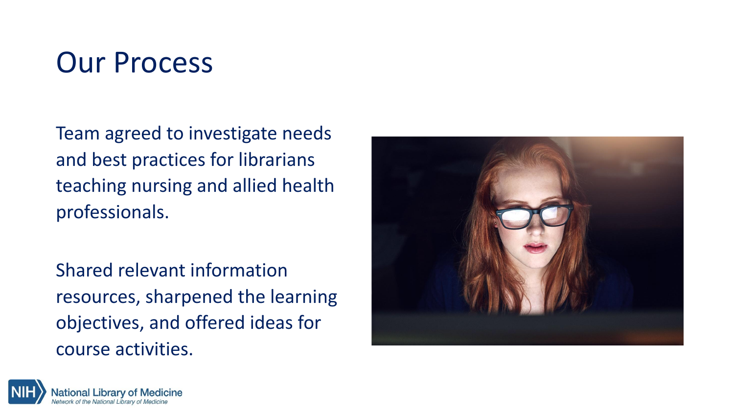### Our Process

Team agreed to investigate needs and best practices for librarians teaching nursing and allied health professionals.

Shared relevant information resources, sharpened the learning objectives, and offered ideas for course activities.



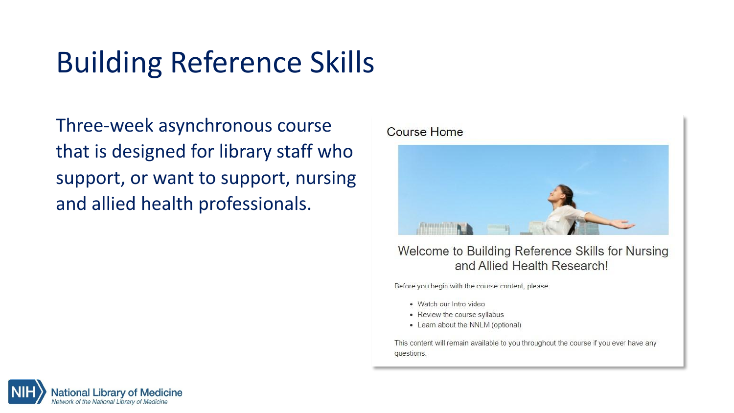## Building Reference Skills

Three-week asynchronous course that is designed for library staff who support, or want to support, nursing and allied health professionals.

Course Home



#### Welcome to Building Reference Skills for Nursing and Allied Health Research!

Before you begin with the course content, please:

- · Watch our Intro video
- Review the course syllabus
- Learn about the NNLM (optional)

This content will remain available to you throughout the course if you ever have any questions.

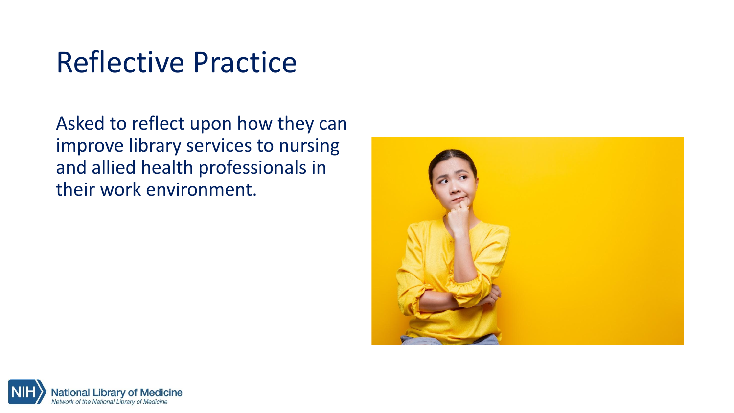### Reflective Practice

Asked to reflect upon how they can improve library services to nursing and allied health professionals in their work environment.



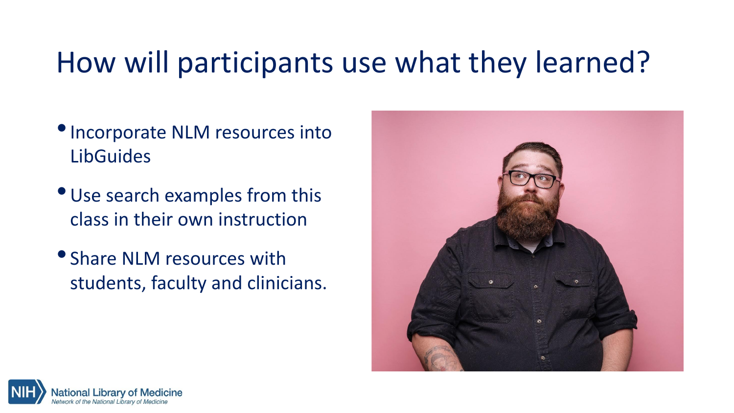#### How will participants use what they learned?

- •Incorporate NLM resources into **LibGuides**
- •Use search examples from this class in their own instruction
- Share NLM resources with students, faculty and clinicians.



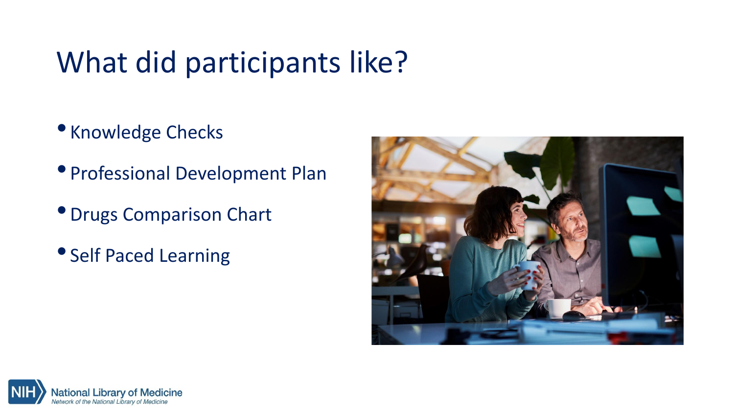## What did participants like?

- Knowledge Checks
- Professional Development Plan
- •Drugs Comparison Chart
- Self Paced Learning



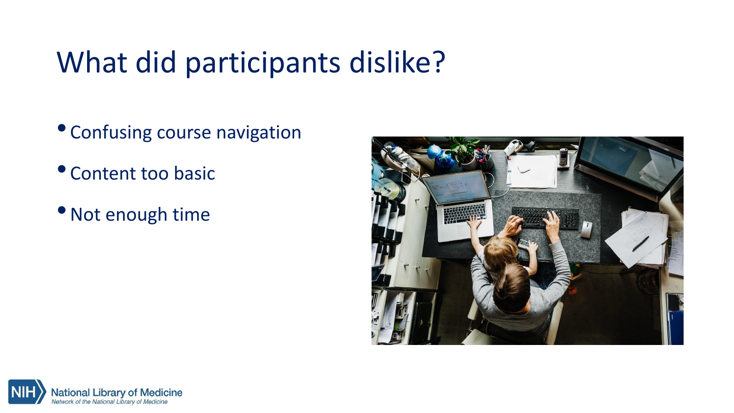## What did participants dislike?

- Confusing course navigation
- Content too basic
- •Not enough time